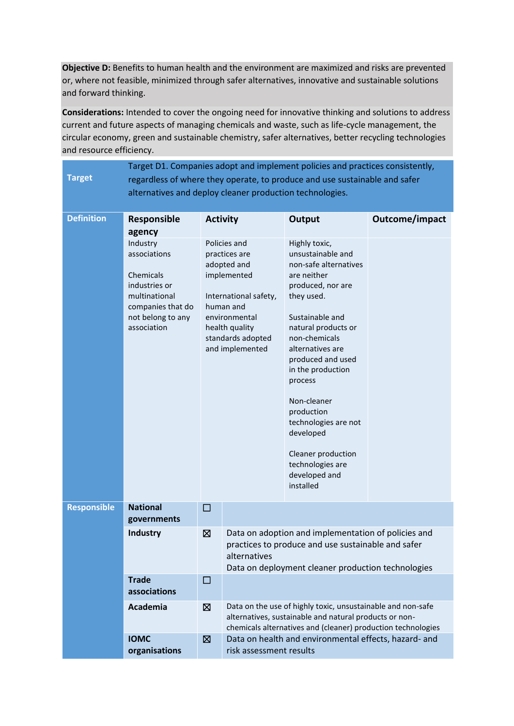**Objective D:** Benefits to human health and the environment are maximized and risks are prevented or, where not feasible, minimized through safer alternatives, innovative and sustainable solutions and forward thinking.

**Considerations:** Intended to cover the ongoing need for innovative thinking and solutions to address current and future aspects of managing chemicals and waste, such as life-cycle management, the circular economy, green and sustainable chemistry, safer alternatives, better recycling technologies and resource efficiency.

|                    | Target D1. Companies adopt and implement policies and practices consistently, |                                                                                                               |                                                              |                                                                    |                |  |  |
|--------------------|-------------------------------------------------------------------------------|---------------------------------------------------------------------------------------------------------------|--------------------------------------------------------------|--------------------------------------------------------------------|----------------|--|--|
| <b>Target</b>      | regardless of where they operate, to produce and use sustainable and safer    |                                                                                                               |                                                              |                                                                    |                |  |  |
|                    | alternatives and deploy cleaner production technologies.                      |                                                                                                               |                                                              |                                                                    |                |  |  |
|                    |                                                                               |                                                                                                               |                                                              |                                                                    |                |  |  |
| <b>Definition</b>  | Responsible<br><b>Activity</b>                                                |                                                                                                               |                                                              | Output                                                             | Outcome/impact |  |  |
|                    | agency                                                                        |                                                                                                               |                                                              |                                                                    |                |  |  |
|                    | Industry                                                                      | Policies and                                                                                                  |                                                              | Highly toxic,                                                      |                |  |  |
|                    | associations                                                                  |                                                                                                               | practices are<br>adopted and                                 | unsustainable and<br>non-safe alternatives                         |                |  |  |
|                    | Chemicals                                                                     |                                                                                                               | implemented                                                  | are neither                                                        |                |  |  |
|                    | industries or                                                                 | International safety,<br>human and<br>environmental<br>health quality<br>standards adopted<br>and implemented |                                                              | produced, nor are                                                  |                |  |  |
|                    | multinational                                                                 |                                                                                                               |                                                              | they used.                                                         |                |  |  |
|                    | companies that do<br>not belong to any                                        |                                                                                                               |                                                              | Sustainable and                                                    |                |  |  |
|                    | association                                                                   |                                                                                                               |                                                              | natural products or                                                |                |  |  |
|                    |                                                                               |                                                                                                               |                                                              | non-chemicals                                                      |                |  |  |
|                    |                                                                               |                                                                                                               |                                                              | alternatives are                                                   |                |  |  |
|                    |                                                                               |                                                                                                               |                                                              | produced and used                                                  |                |  |  |
|                    |                                                                               |                                                                                                               |                                                              | in the production<br>process                                       |                |  |  |
|                    |                                                                               |                                                                                                               |                                                              |                                                                    |                |  |  |
|                    |                                                                               |                                                                                                               |                                                              | Non-cleaner                                                        |                |  |  |
|                    |                                                                               |                                                                                                               |                                                              | production                                                         |                |  |  |
|                    |                                                                               |                                                                                                               |                                                              | technologies are not<br>developed                                  |                |  |  |
|                    |                                                                               |                                                                                                               |                                                              |                                                                    |                |  |  |
|                    |                                                                               |                                                                                                               |                                                              | Cleaner production                                                 |                |  |  |
|                    |                                                                               |                                                                                                               |                                                              | technologies are                                                   |                |  |  |
|                    |                                                                               |                                                                                                               |                                                              | developed and<br>installed                                         |                |  |  |
|                    |                                                                               |                                                                                                               |                                                              |                                                                    |                |  |  |
| <b>Responsible</b> | <b>National</b>                                                               | □                                                                                                             |                                                              |                                                                    |                |  |  |
|                    | governments                                                                   |                                                                                                               |                                                              |                                                                    |                |  |  |
|                    | <b>Industry</b>                                                               | 図                                                                                                             |                                                              | Data on adoption and implementation of policies and                |                |  |  |
|                    |                                                                               |                                                                                                               |                                                              | practices to produce and use sustainable and safer<br>alternatives |                |  |  |
|                    |                                                                               |                                                                                                               |                                                              |                                                                    |                |  |  |
|                    | <b>Trade</b>                                                                  | □                                                                                                             | Data on deployment cleaner production technologies           |                                                                    |                |  |  |
|                    | associations                                                                  |                                                                                                               |                                                              |                                                                    |                |  |  |
|                    | Academia                                                                      | ⊠                                                                                                             | Data on the use of highly toxic, unsustainable and non-safe  |                                                                    |                |  |  |
|                    |                                                                               |                                                                                                               | alternatives, sustainable and natural products or non-       |                                                                    |                |  |  |
|                    |                                                                               |                                                                                                               | chemicals alternatives and (cleaner) production technologies |                                                                    |                |  |  |
|                    | <b>IOMC</b>                                                                   | $\boxtimes$                                                                                                   | Data on health and environmental effects, hazard- and        |                                                                    |                |  |  |
|                    | organisations                                                                 |                                                                                                               | risk assessment results                                      |                                                                    |                |  |  |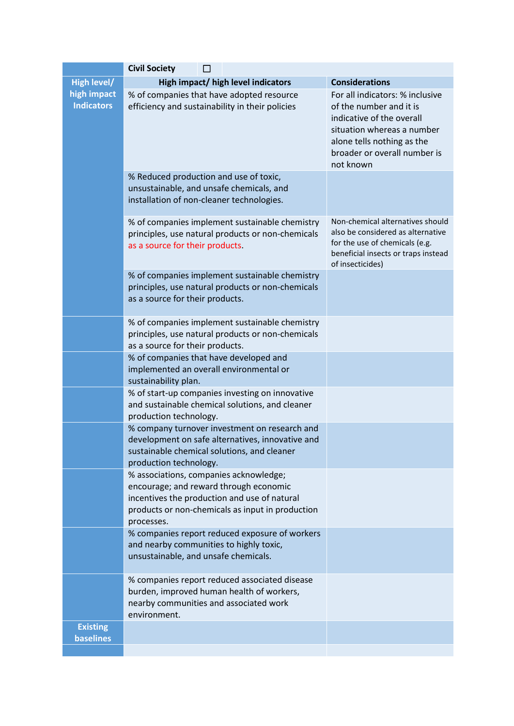|                                     | <b>Civil Society</b>                                                                                                                                                                               |                                                                                                                                                                                                  |  |  |  |  |  |
|-------------------------------------|----------------------------------------------------------------------------------------------------------------------------------------------------------------------------------------------------|--------------------------------------------------------------------------------------------------------------------------------------------------------------------------------------------------|--|--|--|--|--|
| <b>High level/</b>                  | High impact/ high level indicators                                                                                                                                                                 | <b>Considerations</b>                                                                                                                                                                            |  |  |  |  |  |
| high impact<br><b>Indicators</b>    | % of companies that have adopted resource<br>efficiency and sustainability in their policies                                                                                                       | For all indicators: % inclusive<br>of the number and it is<br>indicative of the overall<br>situation whereas a number<br>alone tells nothing as the<br>broader or overall number is<br>not known |  |  |  |  |  |
|                                     | % Reduced production and use of toxic,<br>unsustainable, and unsafe chemicals, and<br>installation of non-cleaner technologies.                                                                    |                                                                                                                                                                                                  |  |  |  |  |  |
|                                     | % of companies implement sustainable chemistry<br>principles, use natural products or non-chemicals<br>as a source for their products.                                                             | Non-chemical alternatives should<br>also be considered as alternative<br>for the use of chemicals (e.g.<br>beneficial insects or traps instead<br>of insecticides)                               |  |  |  |  |  |
|                                     | % of companies implement sustainable chemistry<br>principles, use natural products or non-chemicals<br>as a source for their products.                                                             |                                                                                                                                                                                                  |  |  |  |  |  |
|                                     | % of companies implement sustainable chemistry<br>principles, use natural products or non-chemicals<br>as a source for their products.                                                             |                                                                                                                                                                                                  |  |  |  |  |  |
|                                     | % of companies that have developed and<br>implemented an overall environmental or<br>sustainability plan.                                                                                          |                                                                                                                                                                                                  |  |  |  |  |  |
|                                     | % of start-up companies investing on innovative<br>and sustainable chemical solutions, and cleaner<br>production technology.                                                                       |                                                                                                                                                                                                  |  |  |  |  |  |
|                                     | % company turnover investment on research and<br>development on safe alternatives, innovative and<br>sustainable chemical solutions, and cleaner<br>production technology.                         |                                                                                                                                                                                                  |  |  |  |  |  |
|                                     | % associations, companies acknowledge;<br>encourage; and reward through economic<br>incentives the production and use of natural<br>products or non-chemicals as input in production<br>processes. |                                                                                                                                                                                                  |  |  |  |  |  |
|                                     | % companies report reduced exposure of workers<br>and nearby communities to highly toxic,<br>unsustainable, and unsafe chemicals.                                                                  |                                                                                                                                                                                                  |  |  |  |  |  |
|                                     | % companies report reduced associated disease<br>burden, improved human health of workers,<br>nearby communities and associated work<br>environment.                                               |                                                                                                                                                                                                  |  |  |  |  |  |
| <b>Existing</b><br><b>baselines</b> |                                                                                                                                                                                                    |                                                                                                                                                                                                  |  |  |  |  |  |
|                                     |                                                                                                                                                                                                    |                                                                                                                                                                                                  |  |  |  |  |  |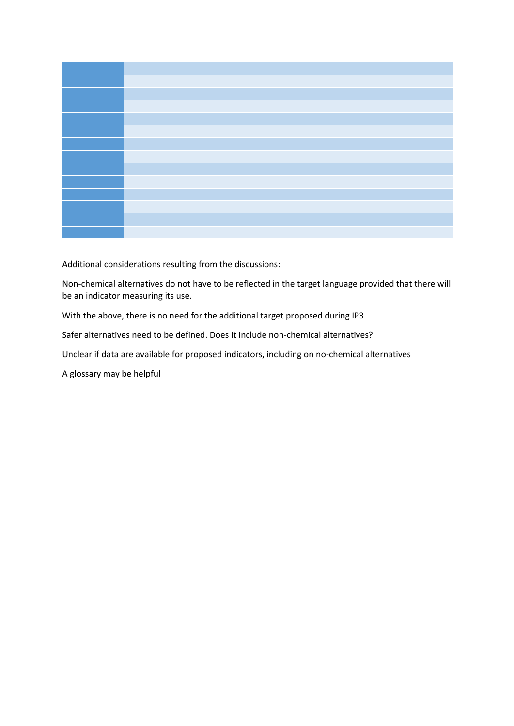Additional considerations resulting from the discussions:

Non-chemical alternatives do not have to be reflected in the target language provided that there will be an indicator measuring its use.

With the above, there is no need for the additional target proposed during IP3

Safer alternatives need to be defined. Does it include non-chemical alternatives?

Unclear if data are available for proposed indicators, including on no-chemical alternatives

A glossary may be helpful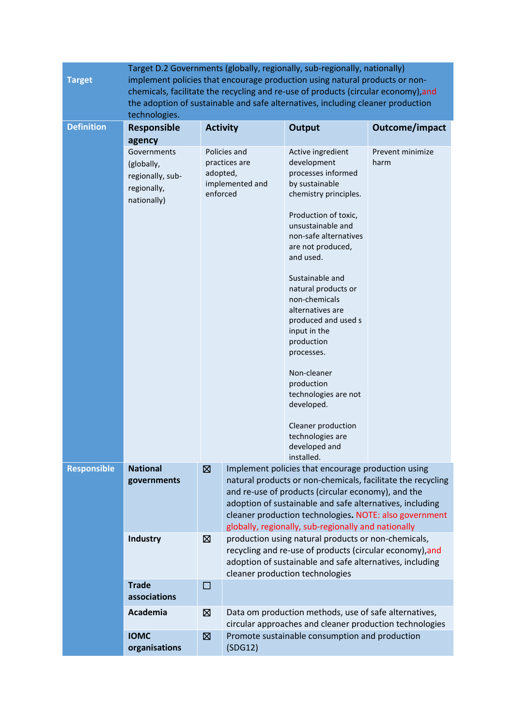|                    |                                                                                                                                                                                                                                                      |                                                                          |                                                                                                                                                                                                                                                                                                                                                      | Target D.2 Governments (globally, regionally, sub-regionally, nationally)                                                                                                                                                                                                                                                                     |                          |  |
|--------------------|------------------------------------------------------------------------------------------------------------------------------------------------------------------------------------------------------------------------------------------------------|--------------------------------------------------------------------------|------------------------------------------------------------------------------------------------------------------------------------------------------------------------------------------------------------------------------------------------------------------------------------------------------------------------------------------------------|-----------------------------------------------------------------------------------------------------------------------------------------------------------------------------------------------------------------------------------------------------------------------------------------------------------------------------------------------|--------------------------|--|
| <b>Target</b>      | implement policies that encourage production using natural products or non-<br>chemicals, facilitate the recycling and re-use of products (circular economy), and<br>the adoption of sustainable and safe alternatives, including cleaner production |                                                                          |                                                                                                                                                                                                                                                                                                                                                      |                                                                                                                                                                                                                                                                                                                                               |                          |  |
| <b>Definition</b>  | technologies.<br>Responsible                                                                                                                                                                                                                         | <b>Activity</b>                                                          |                                                                                                                                                                                                                                                                                                                                                      | <b>Output</b>                                                                                                                                                                                                                                                                                                                                 | Outcome/impact           |  |
|                    | agency<br>Governments<br>(globally,<br>regionally, sub-<br>regionally,<br>nationally)                                                                                                                                                                | Policies and<br>practices are<br>adopted,<br>implemented and<br>enforced |                                                                                                                                                                                                                                                                                                                                                      | Active ingredient<br>development<br>processes informed<br>by sustainable<br>chemistry principles.<br>Production of toxic,<br>unsustainable and<br>non-safe alternatives<br>are not produced,<br>and used.<br>Sustainable and<br>natural products or<br>non-chemicals<br>alternatives are<br>produced and used s<br>input in the<br>production | Prevent minimize<br>harm |  |
|                    |                                                                                                                                                                                                                                                      |                                                                          |                                                                                                                                                                                                                                                                                                                                                      | processes.<br>Non-cleaner<br>production<br>technologies are not<br>developed.<br>Cleaner production<br>technologies are<br>developed and<br>installed.                                                                                                                                                                                        |                          |  |
| <b>Responsible</b> | <b>National</b><br>governments                                                                                                                                                                                                                       | 図                                                                        | Implement policies that encourage production using<br>natural products or non-chemicals, facilitate the recycling<br>and re-use of products (circular economy), and the<br>adoption of sustainable and safe alternatives, including<br>cleaner production technologies. NOTE: also government<br>globally, regionally, sub-regionally and nationally |                                                                                                                                                                                                                                                                                                                                               |                          |  |
|                    | <b>Industry</b><br>⊠                                                                                                                                                                                                                                 |                                                                          |                                                                                                                                                                                                                                                                                                                                                      | production using natural products or non-chemicals,<br>recycling and re-use of products (circular economy), and<br>adoption of sustainable and safe alternatives, including<br>cleaner production technologies                                                                                                                                |                          |  |
|                    | <b>Trade</b><br>associations                                                                                                                                                                                                                         | $\Box$                                                                   |                                                                                                                                                                                                                                                                                                                                                      |                                                                                                                                                                                                                                                                                                                                               |                          |  |
|                    | Academia                                                                                                                                                                                                                                             | $\boxtimes$                                                              | Data om production methods, use of safe alternatives,<br>circular approaches and cleaner production technologies                                                                                                                                                                                                                                     |                                                                                                                                                                                                                                                                                                                                               |                          |  |
|                    | <b>IOMC</b><br>organisations                                                                                                                                                                                                                         | ⊠                                                                        | (SDG12)                                                                                                                                                                                                                                                                                                                                              | Promote sustainable consumption and production                                                                                                                                                                                                                                                                                                |                          |  |